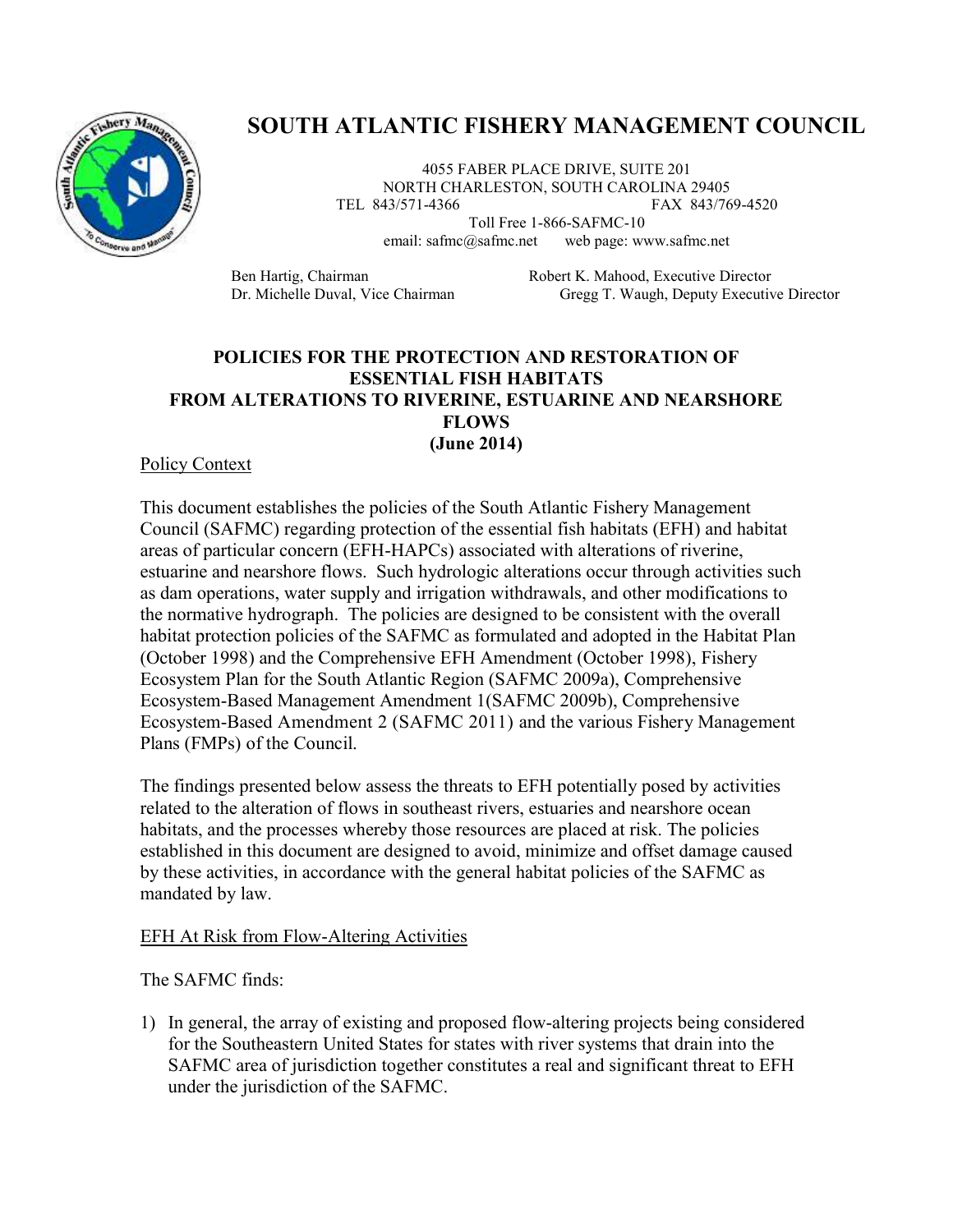

# **SOUTH ATLANTIC FISHERY MANAGEMENT COUNCIL**

4055 FABER PLACE DRIVE, SUITE 201 NORTH CHARLESTON, SOUTH CAROLINA 29405 TEL 843/571-4366 FAX 843/769-4520

> Toll Free 1-866-SAFMC-10 email: safmc@safmc.net web page: www.safmc.net

Ben Hartig, Chairman Robert K. Mahood, Executive Director Dr. Michelle Duval, Vice Chairman Gregg T. Waugh, Deputy Executive Director

## **POLICIES FOR THE PROTECTION AND RESTORATION OF ESSENTIAL FISH HABITATS FROM ALTERATIONS TO RIVERINE, ESTUARINE AND NEARSHORE FLOWS (June 2014)**

#### Policy Context

This document establishes the policies of the South Atlantic Fishery Management Council (SAFMC) regarding protection of the essential fish habitats (EFH) and habitat areas of particular concern (EFH-HAPCs) associated with alterations of riverine, estuarine and nearshore flows. Such hydrologic alterations occur through activities such as dam operations, water supply and irrigation withdrawals, and other modifications to the normative hydrograph. The policies are designed to be consistent with the overall habitat protection policies of the SAFMC as formulated and adopted in the Habitat Plan (October 1998) and the Comprehensive EFH Amendment (October 1998), Fishery Ecosystem Plan for the South Atlantic Region (SAFMC 2009a), Comprehensive Ecosystem-Based Management Amendment 1(SAFMC 2009b), Comprehensive Ecosystem-Based Amendment 2 (SAFMC 2011) and the various Fishery Management Plans (FMPs) of the Council.

The findings presented below assess the threats to EFH potentially posed by activities related to the alteration of flows in southeast rivers, estuaries and nearshore ocean habitats, and the processes whereby those resources are placed at risk. The policies established in this document are designed to avoid, minimize and offset damage caused by these activities, in accordance with the general habitat policies of the SAFMC as mandated by law.

#### EFH At Risk from Flow-Altering Activities

The SAFMC finds:

1) In general, the array of existing and proposed flow-altering projects being considered for the Southeastern United States for states with river systems that drain into the SAFMC area of jurisdiction together constitutes a real and significant threat to EFH under the jurisdiction of the SAFMC.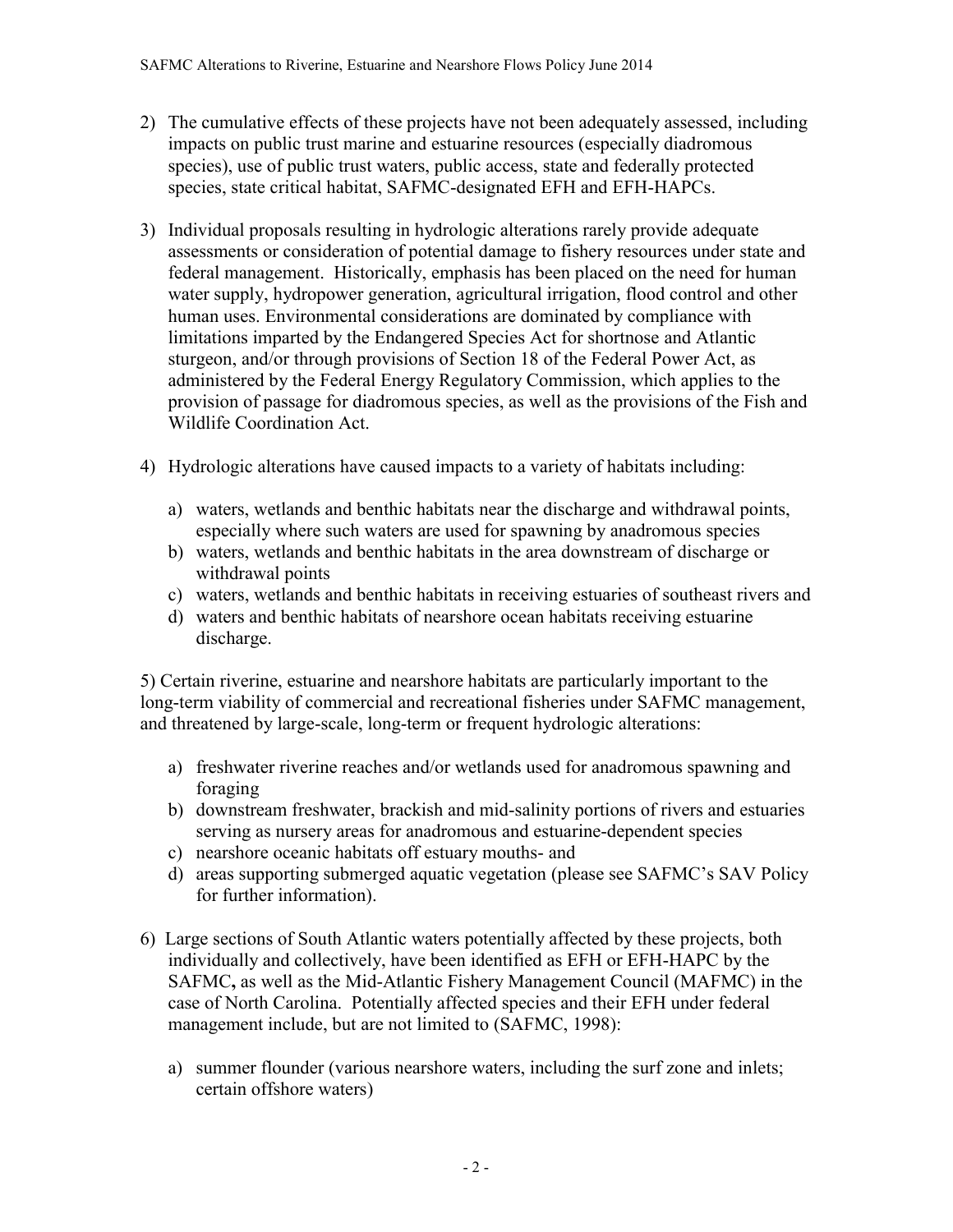- 2) The cumulative effects of these projects have not been adequately assessed, including impacts on public trust marine and estuarine resources (especially diadromous species), use of public trust waters, public access, state and federally protected species, state critical habitat, SAFMC-designated EFH and EFH-HAPCs.
- 3) Individual proposals resulting in hydrologic alterations rarely provide adequate assessments or consideration of potential damage to fishery resources under state and federal management. Historically, emphasis has been placed on the need for human water supply, hydropower generation, agricultural irrigation, flood control and other human uses. Environmental considerations are dominated by compliance with limitations imparted by the Endangered Species Act for shortnose and Atlantic sturgeon, and/or through provisions of Section 18 of the Federal Power Act, as administered by the Federal Energy Regulatory Commission, which applies to the provision of passage for diadromous species, as well as the provisions of the Fish and Wildlife Coordination Act.
- 4) Hydrologic alterations have caused impacts to a variety of habitats including:
	- a) waters, wetlands and benthic habitats near the discharge and withdrawal points, especially where such waters are used for spawning by anadromous species
	- b) waters, wetlands and benthic habitats in the area downstream of discharge or withdrawal points
	- c) waters, wetlands and benthic habitats in receiving estuaries of southeast rivers and
	- d) waters and benthic habitats of nearshore ocean habitats receiving estuarine discharge.

5) Certain riverine, estuarine and nearshore habitats are particularly important to the long-term viability of commercial and recreational fisheries under SAFMC management, and threatened by large-scale, long-term or frequent hydrologic alterations:

- a) freshwater riverine reaches and/or wetlands used for anadromous spawning and foraging
- b) downstream freshwater, brackish and mid-salinity portions of rivers and estuaries serving as nursery areas for anadromous and estuarine-dependent species
- c) nearshore oceanic habitats off estuary mouths- and
- d) areas supporting submerged aquatic vegetation (please see SAFMC's SAV Policy for further information).
- 6) Large sections of South Atlantic waters potentially affected by these projects, both individually and collectively, have been identified as EFH or EFH-HAPC by the SAFMC**,** as well as the Mid-Atlantic Fishery Management Council (MAFMC) in the case of North Carolina. Potentially affected species and their EFH under federal management include, but are not limited to (SAFMC, 1998):
	- a) summer flounder (various nearshore waters, including the surf zone and inlets; certain offshore waters)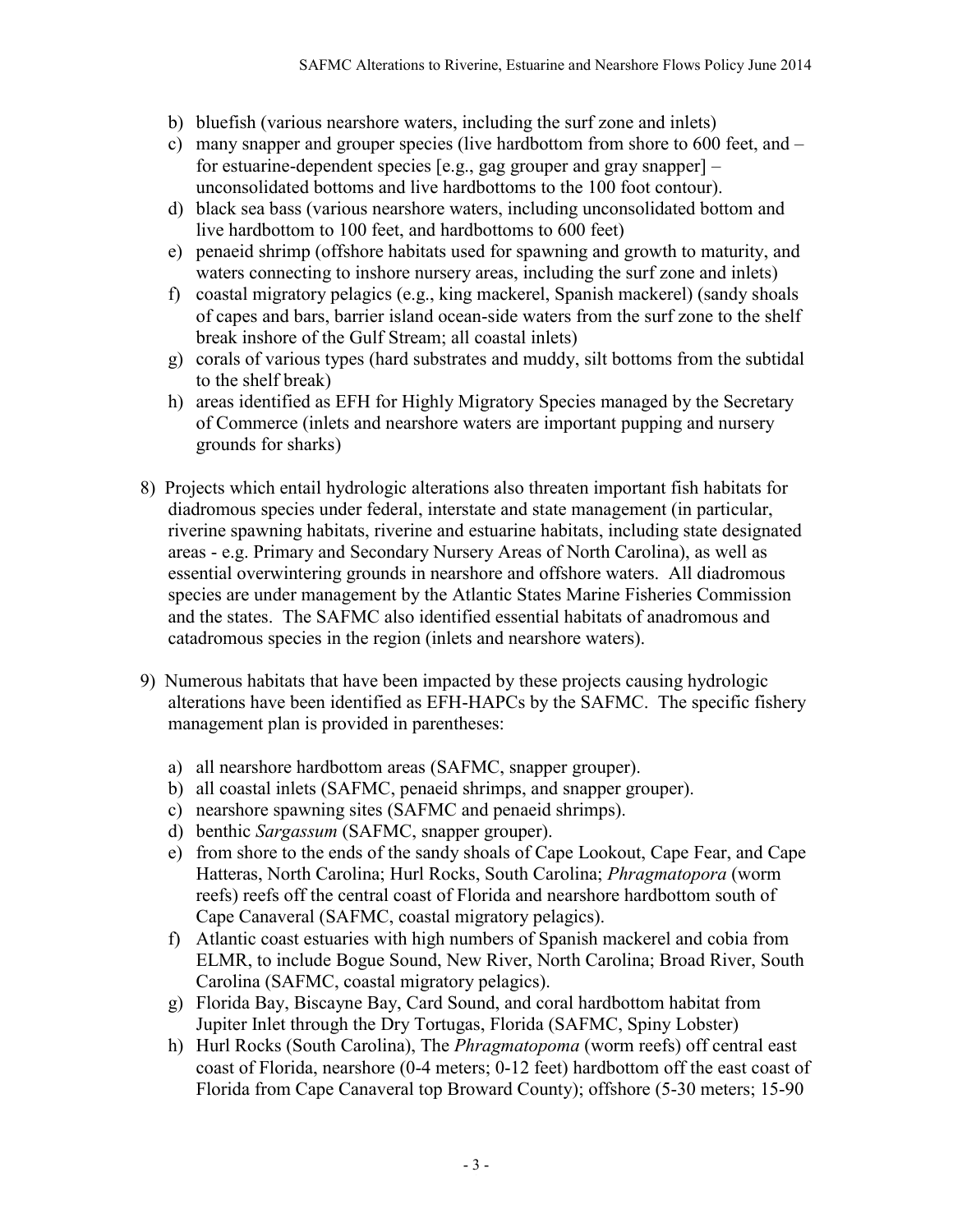- b) bluefish (various nearshore waters, including the surf zone and inlets)
- c) many snapper and grouper species (live hardbottom from shore to 600 feet, and for estuarine-dependent species [e.g., gag grouper and gray snapper] – unconsolidated bottoms and live hardbottoms to the 100 foot contour).
- d) black sea bass (various nearshore waters, including unconsolidated bottom and live hardbottom to 100 feet, and hardbottoms to 600 feet)
- e) penaeid shrimp (offshore habitats used for spawning and growth to maturity, and waters connecting to inshore nursery areas, including the surf zone and inlets)
- f) coastal migratory pelagics (e.g., king mackerel, Spanish mackerel) (sandy shoals of capes and bars, barrier island ocean-side waters from the surf zone to the shelf break inshore of the Gulf Stream; all coastal inlets)
- g) corals of various types (hard substrates and muddy, silt bottoms from the subtidal to the shelf break)
- h) areas identified as EFH for Highly Migratory Species managed by the Secretary of Commerce (inlets and nearshore waters are important pupping and nursery grounds for sharks)
- 8) Projects which entail hydrologic alterations also threaten important fish habitats for diadromous species under federal, interstate and state management (in particular, riverine spawning habitats, riverine and estuarine habitats, including state designated areas - e.g. Primary and Secondary Nursery Areas of North Carolina), as well as essential overwintering grounds in nearshore and offshore waters. All diadromous species are under management by the Atlantic States Marine Fisheries Commission and the states. The SAFMC also identified essential habitats of anadromous and catadromous species in the region (inlets and nearshore waters).
- 9) Numerous habitats that have been impacted by these projects causing hydrologic alterations have been identified as EFH-HAPCs by the SAFMC. The specific fishery management plan is provided in parentheses:
	- a) all nearshore hardbottom areas (SAFMC, snapper grouper).
	- b) all coastal inlets (SAFMC, penaeid shrimps, and snapper grouper).
	- c) nearshore spawning sites (SAFMC and penaeid shrimps).
	- d) benthic *Sargassum* (SAFMC, snapper grouper).
	- e) from shore to the ends of the sandy shoals of Cape Lookout, Cape Fear, and Cape Hatteras, North Carolina; Hurl Rocks, South Carolina; *Phragmatopora* (worm reefs) reefs off the central coast of Florida and nearshore hardbottom south of Cape Canaveral (SAFMC, coastal migratory pelagics).
	- f) Atlantic coast estuaries with high numbers of Spanish mackerel and cobia from ELMR, to include Bogue Sound, New River, North Carolina; Broad River, South Carolina (SAFMC, coastal migratory pelagics).
	- g) Florida Bay, Biscayne Bay, Card Sound, and coral hardbottom habitat from Jupiter Inlet through the Dry Tortugas, Florida (SAFMC, Spiny Lobster)
	- h) Hurl Rocks (South Carolina), The *Phragmatopoma* (worm reefs) off central east coast of Florida, nearshore (0-4 meters; 0-12 feet) hardbottom off the east coast of Florida from Cape Canaveral top Broward County); offshore (5-30 meters; 15-90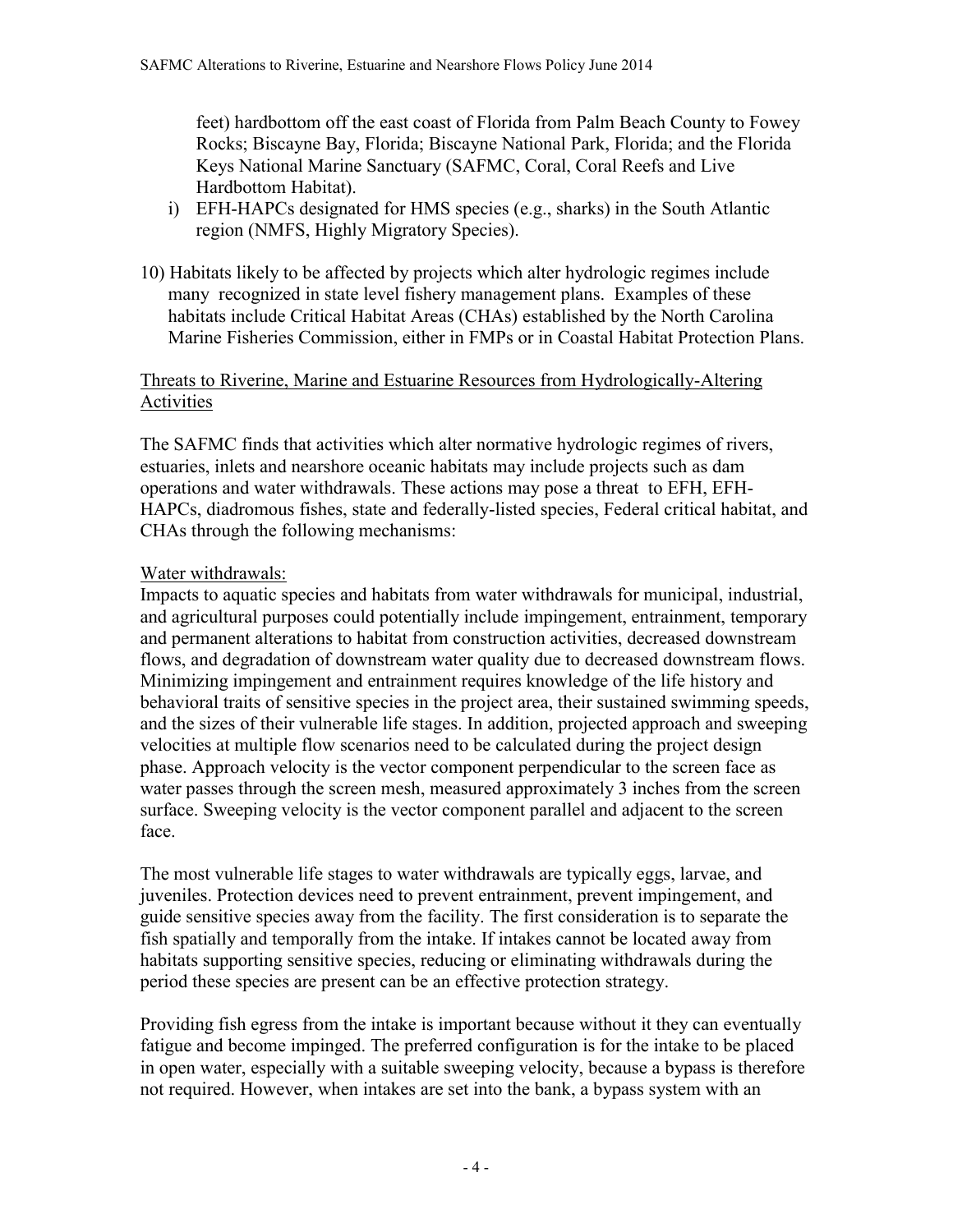feet) hardbottom off the east coast of Florida from Palm Beach County to Fowey Rocks; Biscayne Bay, Florida; Biscayne National Park, Florida; and the Florida Keys National Marine Sanctuary (SAFMC, Coral, Coral Reefs and Live Hardbottom Habitat).

- i) EFH-HAPCs designated for HMS species (e.g., sharks) in the South Atlantic region (NMFS, Highly Migratory Species).
- 10) Habitats likely to be affected by projects which alter hydrologic regimes include many recognized in state level fishery management plans. Examples of these habitats include Critical Habitat Areas (CHAs) established by the North Carolina Marine Fisheries Commission, either in FMPs or in Coastal Habitat Protection Plans.

# Threats to Riverine, Marine and Estuarine Resources from Hydrologically-Altering Activities

The SAFMC finds that activities which alter normative hydrologic regimes of rivers, estuaries, inlets and nearshore oceanic habitats may include projects such as dam operations and water withdrawals. These actions may pose a threat to EFH, EFH-HAPCs, diadromous fishes, state and federally-listed species, Federal critical habitat, and CHAs through the following mechanisms:

# Water withdrawals:

Impacts to aquatic species and habitats from water withdrawals for municipal, industrial, and agricultural purposes could potentially include impingement, entrainment, temporary and permanent alterations to habitat from construction activities, decreased downstream flows, and degradation of downstream water quality due to decreased downstream flows. Minimizing impingement and entrainment requires knowledge of the life history and behavioral traits of sensitive species in the project area, their sustained swimming speeds, and the sizes of their vulnerable life stages. In addition, projected approach and sweeping velocities at multiple flow scenarios need to be calculated during the project design phase. Approach velocity is the vector component perpendicular to the screen face as water passes through the screen mesh, measured approximately 3 inches from the screen surface. Sweeping velocity is the vector component parallel and adjacent to the screen face.

The most vulnerable life stages to water withdrawals are typically eggs, larvae, and juveniles. Protection devices need to prevent entrainment, prevent impingement, and guide sensitive species away from the facility. The first consideration is to separate the fish spatially and temporally from the intake. If intakes cannot be located away from habitats supporting sensitive species, reducing or eliminating withdrawals during the period these species are present can be an effective protection strategy.

Providing fish egress from the intake is important because without it they can eventually fatigue and become impinged. The preferred configuration is for the intake to be placed in open water, especially with a suitable sweeping velocity, because a bypass is therefore not required. However, when intakes are set into the bank, a bypass system with an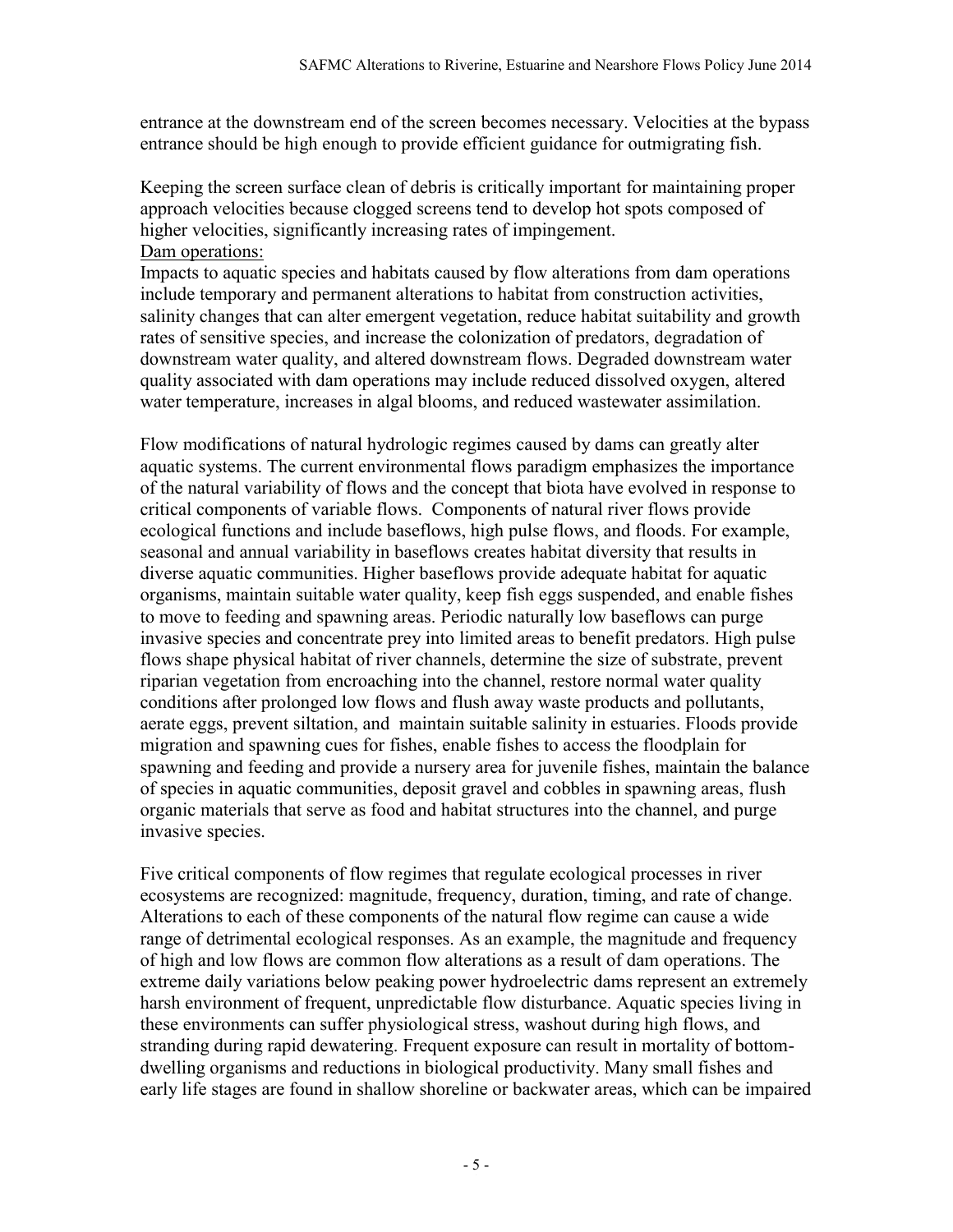entrance at the downstream end of the screen becomes necessary. Velocities at the bypass entrance should be high enough to provide efficient guidance for outmigrating fish.

Keeping the screen surface clean of debris is critically important for maintaining proper approach velocities because clogged screens tend to develop hot spots composed of higher velocities, significantly increasing rates of impingement. Dam operations:

Impacts to aquatic species and habitats caused by flow alterations from dam operations include temporary and permanent alterations to habitat from construction activities, salinity changes that can alter emergent vegetation, reduce habitat suitability and growth rates of sensitive species, and increase the colonization of predators, degradation of downstream water quality, and altered downstream flows. Degraded downstream water quality associated with dam operations may include reduced dissolved oxygen, altered water temperature, increases in algal blooms, and reduced wastewater assimilation.

Flow modifications of natural hydrologic regimes caused by dams can greatly alter aquatic systems. The current environmental flows paradigm emphasizes the importance of the natural variability of flows and the concept that biota have evolved in response to critical components of variable flows. Components of natural river flows provide ecological functions and include baseflows, high pulse flows, and floods. For example, seasonal and annual variability in baseflows creates habitat diversity that results in diverse aquatic communities. Higher baseflows provide adequate habitat for aquatic organisms, maintain suitable water quality, keep fish eggs suspended, and enable fishes to move to feeding and spawning areas. Periodic naturally low baseflows can purge invasive species and concentrate prey into limited areas to benefit predators. High pulse flows shape physical habitat of river channels, determine the size of substrate, prevent riparian vegetation from encroaching into the channel, restore normal water quality conditions after prolonged low flows and flush away waste products and pollutants, aerate eggs, prevent siltation, and maintain suitable salinity in estuaries. Floods provide migration and spawning cues for fishes, enable fishes to access the floodplain for spawning and feeding and provide a nursery area for juvenile fishes, maintain the balance of species in aquatic communities, deposit gravel and cobbles in spawning areas, flush organic materials that serve as food and habitat structures into the channel, and purge invasive species.

Five critical components of flow regimes that regulate ecological processes in river ecosystems are recognized: magnitude, frequency, duration, timing, and rate of change. Alterations to each of these components of the natural flow regime can cause a wide range of detrimental ecological responses. As an example, the magnitude and frequency of high and low flows are common flow alterations as a result of dam operations. The extreme daily variations below peaking power hydroelectric dams represent an extremely harsh environment of frequent, unpredictable flow disturbance. Aquatic species living in these environments can suffer physiological stress, washout during high flows, and stranding during rapid dewatering. Frequent exposure can result in mortality of bottomdwelling organisms and reductions in biological productivity. Many small fishes and early life stages are found in shallow shoreline or backwater areas, which can be impaired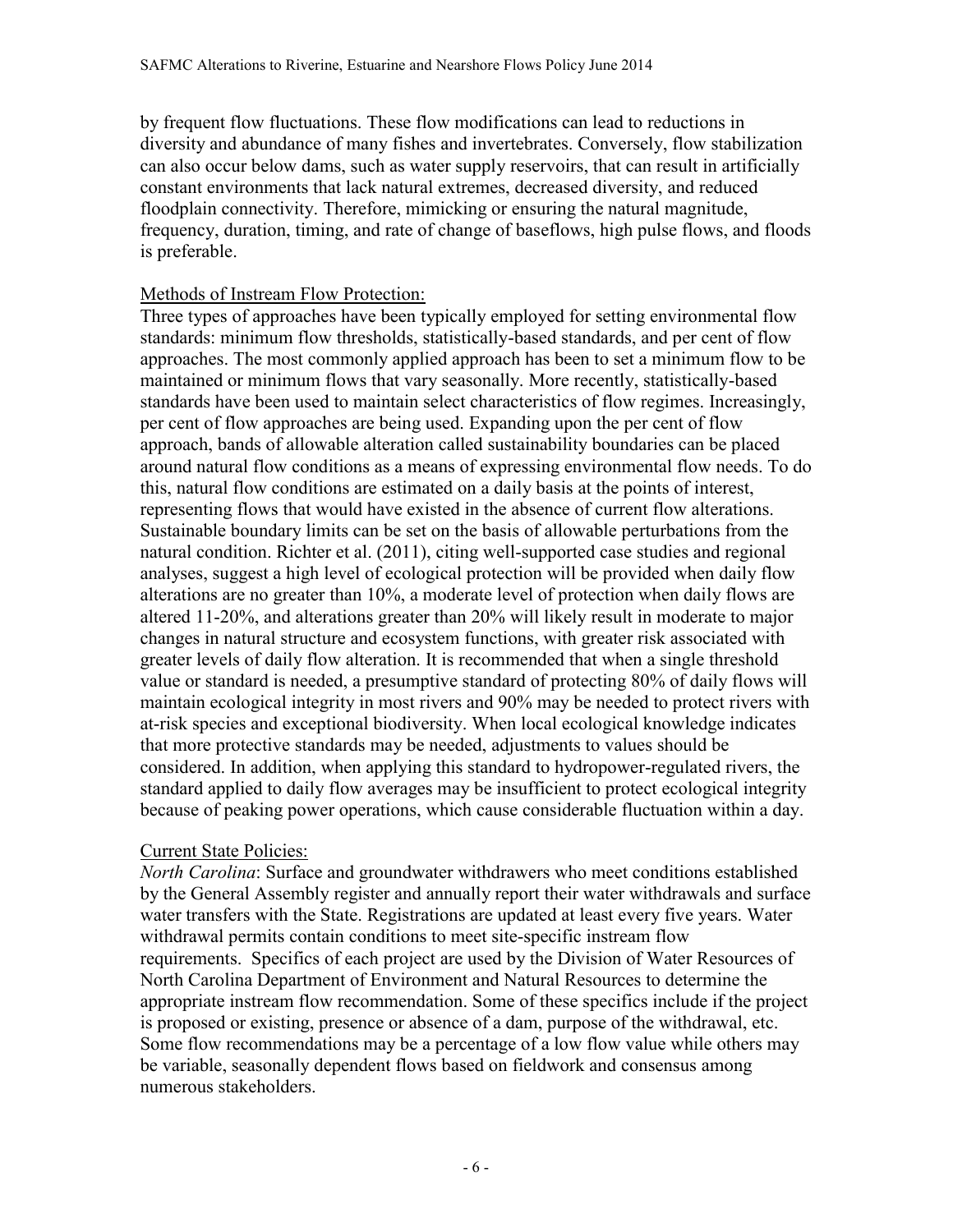by frequent flow fluctuations. These flow modifications can lead to reductions in diversity and abundance of many fishes and invertebrates. Conversely, flow stabilization can also occur below dams, such as water supply reservoirs, that can result in artificially constant environments that lack natural extremes, decreased diversity, and reduced floodplain connectivity. Therefore, mimicking or ensuring the natural magnitude, frequency, duration, timing, and rate of change of baseflows, high pulse flows, and floods is preferable.

## Methods of Instream Flow Protection:

Three types of approaches have been typically employed for setting environmental flow standards: minimum flow thresholds, statistically-based standards, and per cent of flow approaches. The most commonly applied approach has been to set a minimum flow to be maintained or minimum flows that vary seasonally. More recently, statistically-based standards have been used to maintain select characteristics of flow regimes. Increasingly, per cent of flow approaches are being used. Expanding upon the per cent of flow approach, bands of allowable alteration called sustainability boundaries can be placed around natural flow conditions as a means of expressing environmental flow needs. To do this, natural flow conditions are estimated on a daily basis at the points of interest, representing flows that would have existed in the absence of current flow alterations. Sustainable boundary limits can be set on the basis of allowable perturbations from the natural condition. Richter et al. (2011), citing well-supported case studies and regional analyses, suggest a high level of ecological protection will be provided when daily flow alterations are no greater than 10%, a moderate level of protection when daily flows are altered 11-20%, and alterations greater than 20% will likely result in moderate to major changes in natural structure and ecosystem functions, with greater risk associated with greater levels of daily flow alteration. It is recommended that when a single threshold value or standard is needed, a presumptive standard of protecting 80% of daily flows will maintain ecological integrity in most rivers and 90% may be needed to protect rivers with at-risk species and exceptional biodiversity. When local ecological knowledge indicates that more protective standards may be needed, adjustments to values should be considered. In addition, when applying this standard to hydropower-regulated rivers, the standard applied to daily flow averages may be insufficient to protect ecological integrity because of peaking power operations, which cause considerable fluctuation within a day.

## Current State Policies:

*North Carolina*: Surface and groundwater withdrawers who meet conditions established by the General Assembly register and annually report their water withdrawals and surface water transfers with the State. Registrations are updated at least every five years. Water withdrawal permits contain conditions to meet site-specific instream flow requirements. Specifics of each project are used by the Division of Water Resources of North Carolina Department of Environment and Natural Resources to determine the appropriate instream flow recommendation. Some of these specifics include if the project is proposed or existing, presence or absence of a dam, purpose of the withdrawal, etc. Some flow recommendations may be a percentage of a low flow value while others may be variable, seasonally dependent flows based on fieldwork and consensus among numerous stakeholders.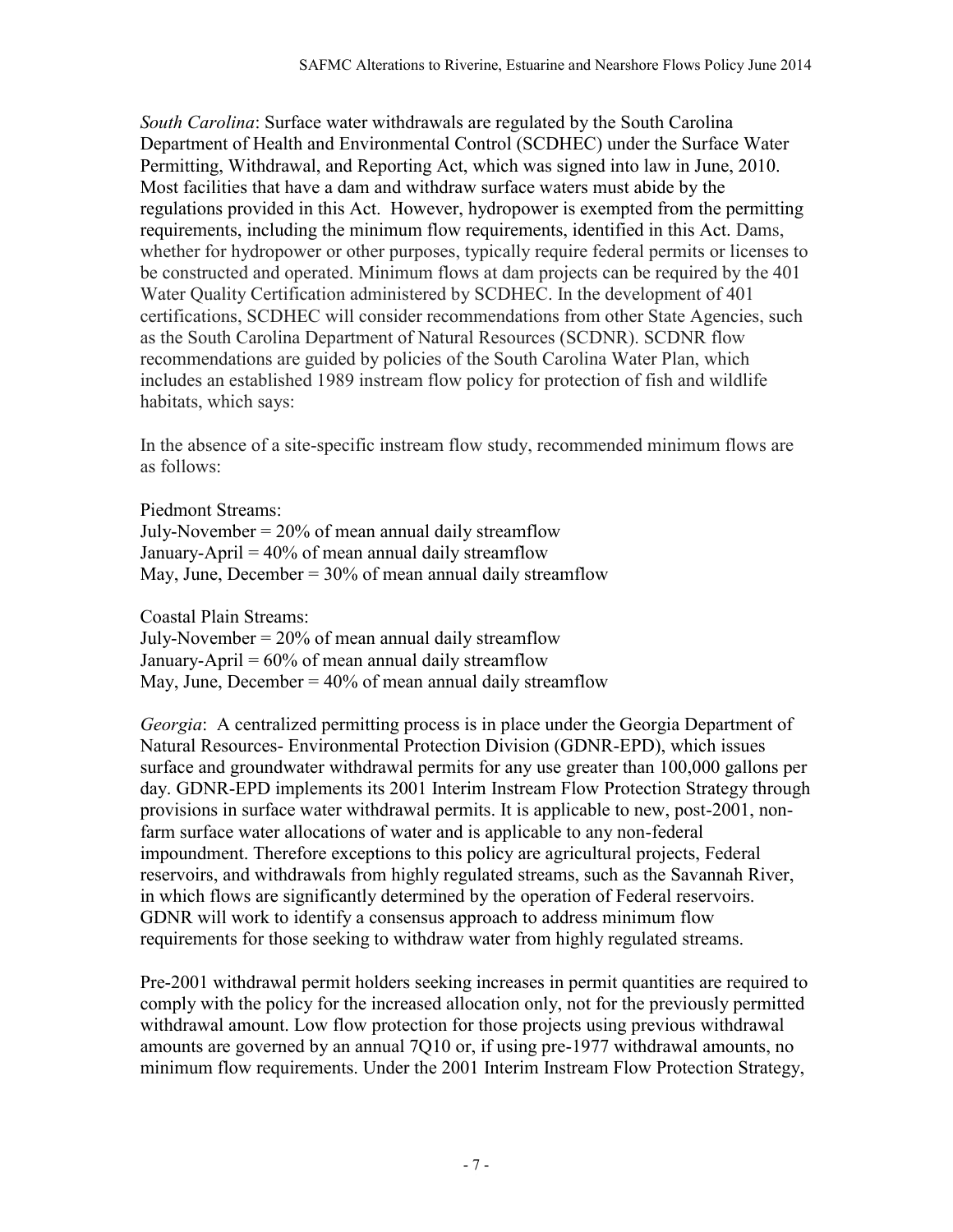*South Carolina*: Surface water withdrawals are regulated by the South Carolina Department of Health and Environmental Control (SCDHEC) under the Surface Water Permitting, Withdrawal, and Reporting Act, which was signed into law in June, 2010. Most facilities that have a dam and withdraw surface waters must abide by the regulations provided in this Act. However, hydropower is exempted from the permitting requirements, including the minimum flow requirements, identified in this Act. Dams, whether for hydropower or other purposes, typically require federal permits or licenses to be constructed and operated. Minimum flows at dam projects can be required by the 401 Water Quality Certification administered by SCDHEC. In the development of 401 certifications, SCDHEC will consider recommendations from other State Agencies, such as the South Carolina Department of Natural Resources (SCDNR). SCDNR flow recommendations are guided by policies of the South Carolina Water Plan, which includes an established 1989 instream flow policy for protection of fish and wildlife habitats, which says:

In the absence of a site-specific instream flow study, recommended minimum flows are as follows:

Piedmont Streams:

July-November  $= 20\%$  of mean annual daily streamflow January-April  $= 40\%$  of mean annual daily streamflow May, June, December =  $30\%$  of mean annual daily streamflow

Coastal Plain Streams:

July-November  $= 20\%$  of mean annual daily streamflow January-April  $= 60\%$  of mean annual daily streamflow May, June, December  $= 40\%$  of mean annual daily streamflow

*Georgia*: A centralized permitting process is in place under the Georgia Department of Natural Resources- Environmental Protection Division (GDNR-EPD), which issues surface and groundwater withdrawal permits for any use greater than 100,000 gallons per day. GDNR-EPD implements its 2001 Interim Instream Flow Protection Strategy through provisions in surface water withdrawal permits. It is applicable to new, post-2001, nonfarm surface water allocations of water and is applicable to any non-federal impoundment. Therefore exceptions to this policy are agricultural projects, Federal reservoirs, and withdrawals from highly regulated streams, such as the Savannah River, in which flows are significantly determined by the operation of Federal reservoirs. GDNR will work to identify a consensus approach to address minimum flow requirements for those seeking to withdraw water from highly regulated streams.

Pre-2001 withdrawal permit holders seeking increases in permit quantities are required to comply with the policy for the increased allocation only, not for the previously permitted withdrawal amount. Low flow protection for those projects using previous withdrawal amounts are governed by an annual 7Q10 or, if using pre-1977 withdrawal amounts, no minimum flow requirements. Under the 2001 Interim Instream Flow Protection Strategy,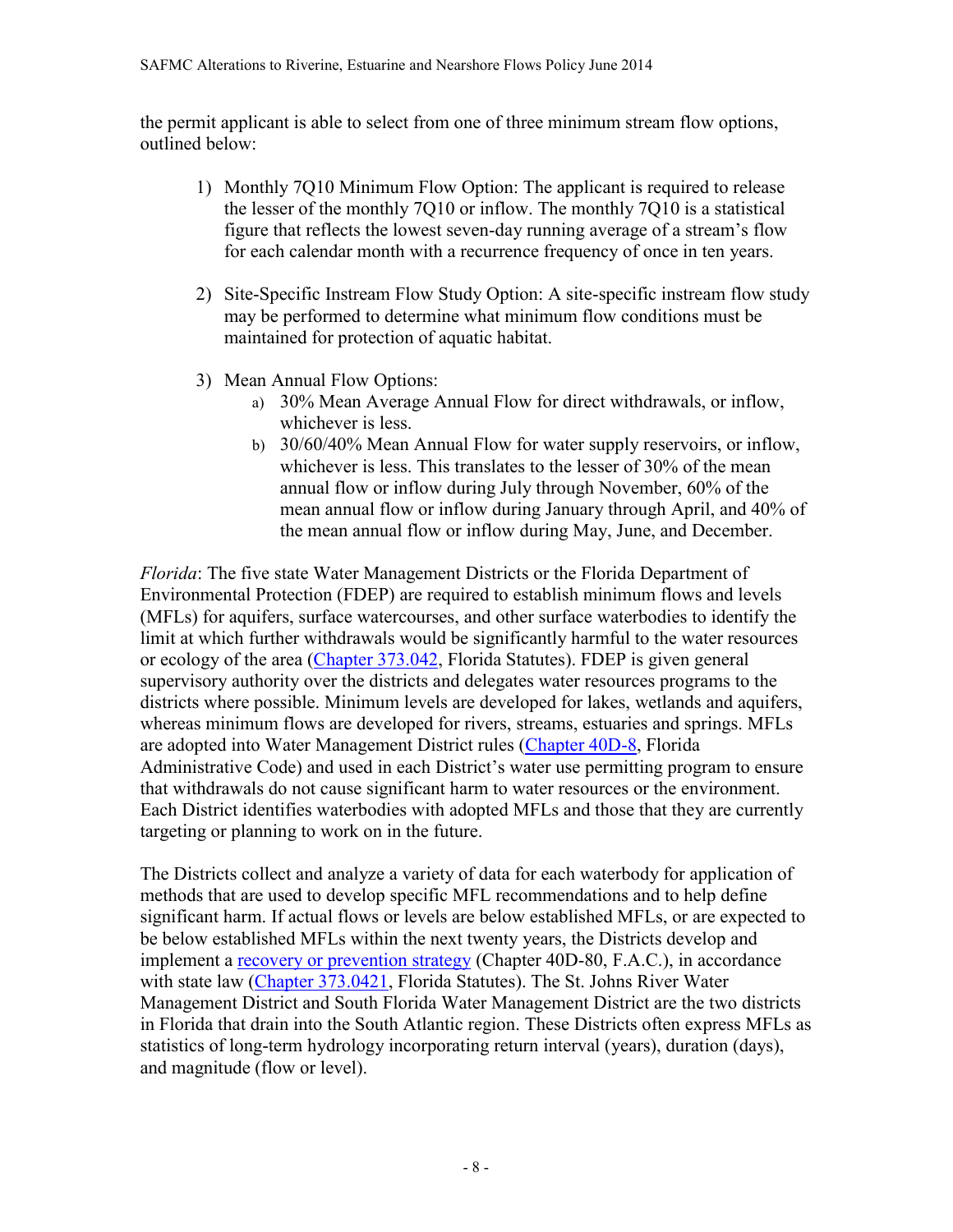the permit applicant is able to select from one of three minimum stream flow options, outlined below:

- 1) Monthly 7Q10 Minimum Flow Option: The applicant is required to release the lesser of the monthly 7Q10 or inflow. The monthly 7Q10 is a statistical figure that reflects the lowest seven-day running average of a stream's flow for each calendar month with a recurrence frequency of once in ten years.
- 2) Site-Specific Instream Flow Study Option: A site-specific instream flow study may be performed to determine what minimum flow conditions must be maintained for protection of aquatic habitat.
- 3) Mean Annual Flow Options:
	- a) 30% Mean Average Annual Flow for direct withdrawals, or inflow, whichever is less.
	- b) 30/60/40% Mean Annual Flow for water supply reservoirs, or inflow, whichever is less. This translates to the lesser of 30% of the mean annual flow or inflow during July through November, 60% of the mean annual flow or inflow during January through April, and 40% of the mean annual flow or inflow during May, June, and December.

*Florida*: The five state Water Management Districts or the Florida Department of Environmental Protection (FDEP) are required to establish minimum flows and levels (MFLs) for aquifers, surface watercourses, and other surface waterbodies to identify the limit at which further withdrawals would be significantly harmful to the water resources or ecology of the area [\(Chapter 373.042,](http://www.leg.state.fl.us/Statutes/index.cfm?App_mode=Display_Statute&Search_String=&URL=Ch0373/SEC042.HTM&Title=-%3E2007-%3ECh0373-%3ESection%20042#0373.042) Florida Statutes). FDEP is given general supervisory authority over the districts and delegates water resources programs to the districts where possible. Minimum levels are developed for lakes, wetlands and aquifers, whereas minimum flows are developed for rivers, streams, estuaries and springs. MFLs are adopted into Water Management District rules [\(Chapter 40D-8,](http://www.swfwmd.state.fl.us/rules/files/40d-8.pdf) Florida Administrative Code) and used in each District's water use permitting program to ensure that withdrawals do not cause significant harm to water resources or the environment. Each District identifies waterbodies with adopted MFLs and those that they are currently targeting or planning to work on in the future.

The Districts collect and analyze a variety of data for each waterbody for application of methods that are used to develop specific MFL recommendations and to help define significant harm. If actual flows or levels are below established MFLs, or are expected to be below established MFLs within the next twenty years, the Districts develop and implement a [recovery or prevention strategy](http://www.swfwmd.state.fl.us/rules/files/40d-80.pdf) (Chapter 40D-80, F.A.C.), in accordance with state law [\(Chapter 373.0421,](http://www.leg.state.fl.us/statutes/index.cfm?mode=View%20Statutes&SubMenu=1&App_mode=Display_Statute&Search_String=373.0421&URL=CH0373/Sec0421.HTM) Florida Statutes). The St. Johns River Water Management District and South Florida Water Management District are the two districts in Florida that drain into the South Atlantic region. These Districts often express MFLs as statistics of long-term hydrology incorporating return interval (years), duration (days), and magnitude (flow or level).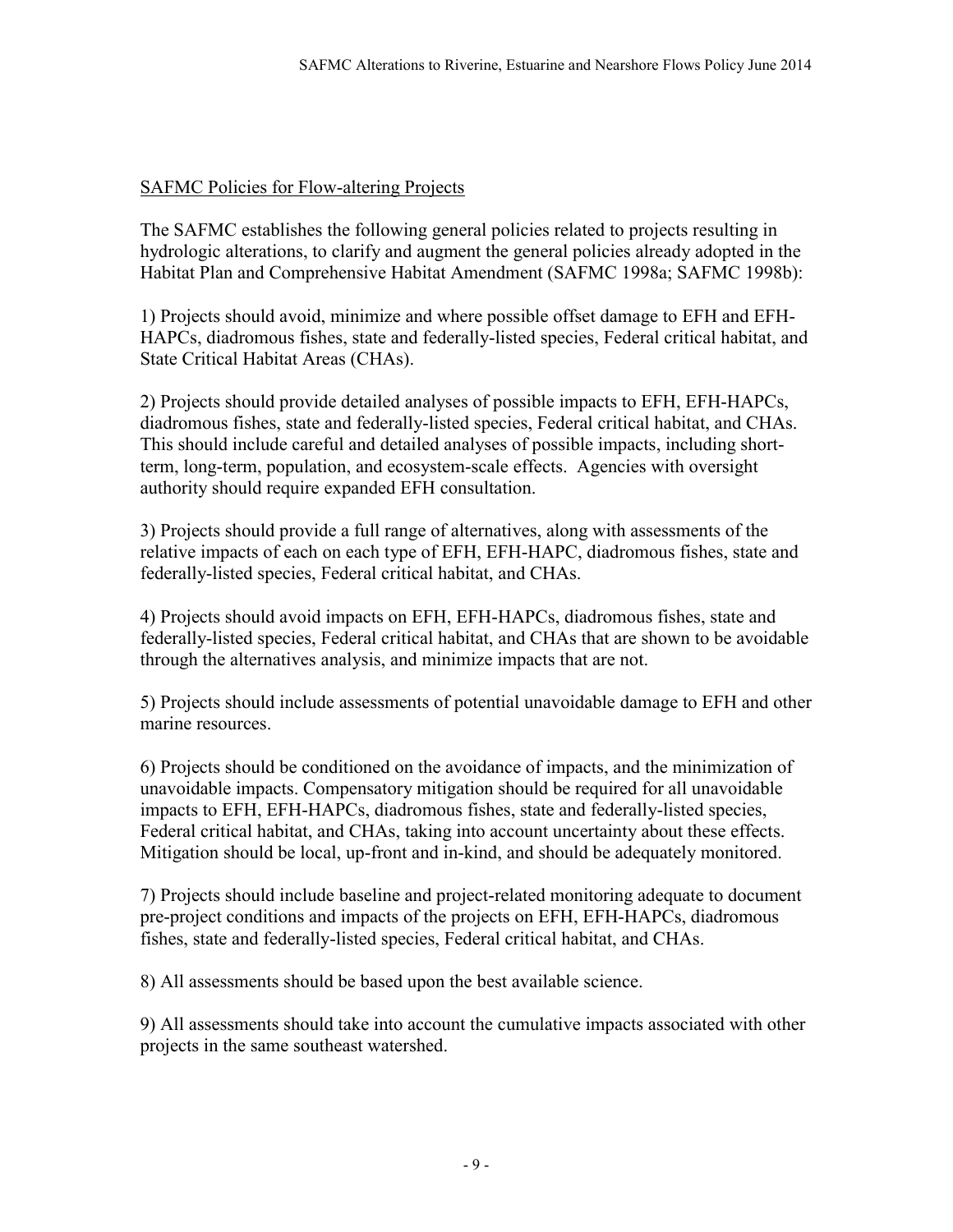# SAFMC Policies for Flow-altering Projects

The SAFMC establishes the following general policies related to projects resulting in hydrologic alterations, to clarify and augment the general policies already adopted in the Habitat Plan and Comprehensive Habitat Amendment (SAFMC 1998a; SAFMC 1998b):

1) Projects should avoid, minimize and where possible offset damage to EFH and EFH-HAPCs, diadromous fishes, state and federally-listed species, Federal critical habitat, and State Critical Habitat Areas (CHAs).

2) Projects should provide detailed analyses of possible impacts to EFH, EFH-HAPCs, diadromous fishes, state and federally-listed species, Federal critical habitat, and CHAs. This should include careful and detailed analyses of possible impacts, including shortterm, long-term, population, and ecosystem-scale effects. Agencies with oversight authority should require expanded EFH consultation.

3) Projects should provide a full range of alternatives, along with assessments of the relative impacts of each on each type of EFH, EFH-HAPC, diadromous fishes, state and federally-listed species, Federal critical habitat, and CHAs.

4) Projects should avoid impacts on EFH, EFH-HAPCs, diadromous fishes, state and federally-listed species, Federal critical habitat, and CHAs that are shown to be avoidable through the alternatives analysis, and minimize impacts that are not.

5) Projects should include assessments of potential unavoidable damage to EFH and other marine resources.

6) Projects should be conditioned on the avoidance of impacts, and the minimization of unavoidable impacts. Compensatory mitigation should be required for all unavoidable impacts to EFH, EFH-HAPCs, diadromous fishes, state and federally-listed species, Federal critical habitat, and CHAs, taking into account uncertainty about these effects. Mitigation should be local, up-front and in-kind, and should be adequately monitored.

7) Projects should include baseline and project-related monitoring adequate to document pre-project conditions and impacts of the projects on EFH, EFH-HAPCs, diadromous fishes, state and federally-listed species, Federal critical habitat, and CHAs.

8) All assessments should be based upon the best available science.

9) All assessments should take into account the cumulative impacts associated with other projects in the same southeast watershed.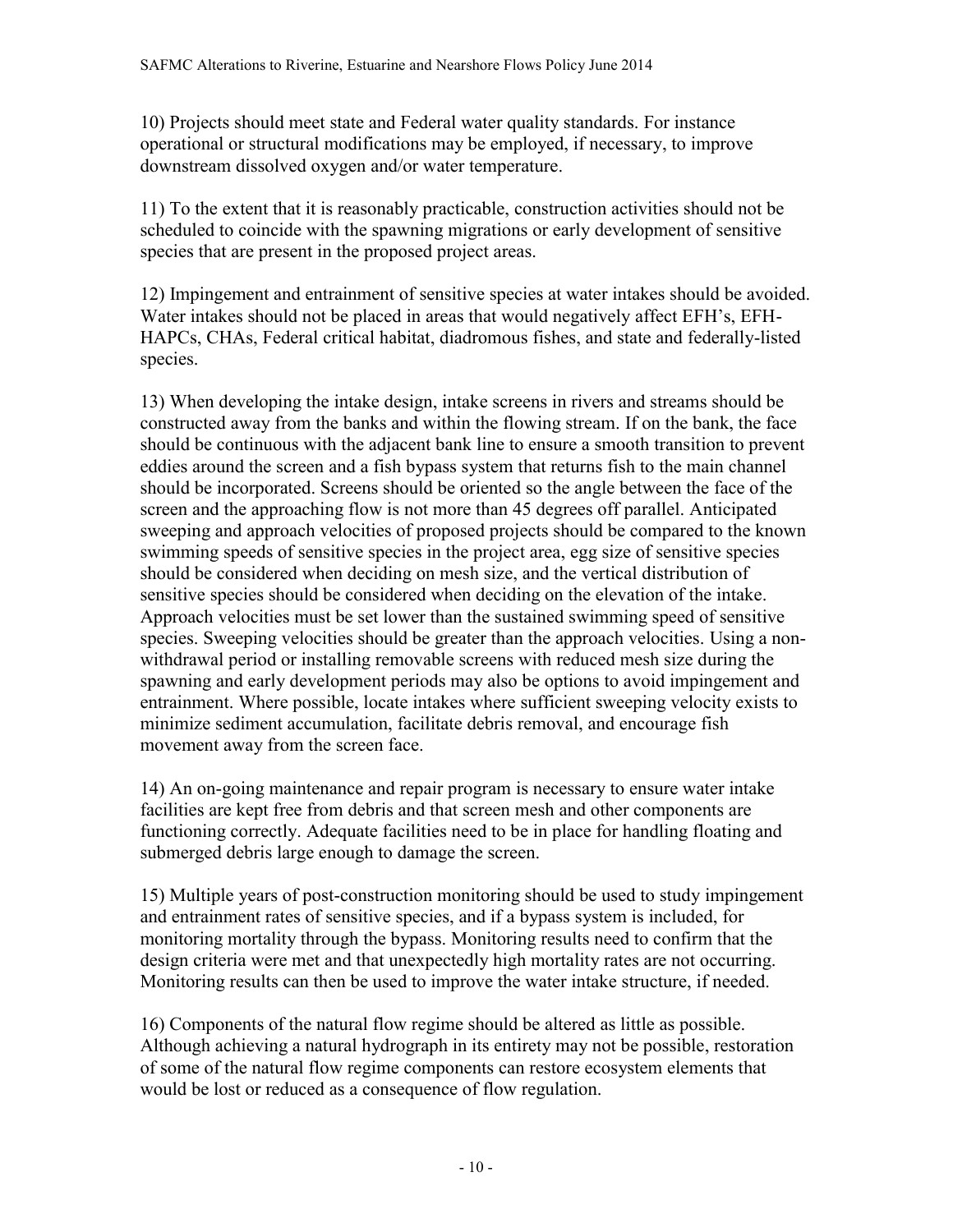10) Projects should meet state and Federal water quality standards. For instance operational or structural modifications may be employed, if necessary, to improve downstream dissolved oxygen and/or water temperature.

11) To the extent that it is reasonably practicable, construction activities should not be scheduled to coincide with the spawning migrations or early development of sensitive species that are present in the proposed project areas.

12) Impingement and entrainment of sensitive species at water intakes should be avoided. Water intakes should not be placed in areas that would negatively affect EFH's, EFH-HAPCs, CHAs, Federal critical habitat, diadromous fishes, and state and federally-listed species.

13) When developing the intake design, intake screens in rivers and streams should be constructed away from the banks and within the flowing stream. If on the bank, the face should be continuous with the adjacent bank line to ensure a smooth transition to prevent eddies around the screen and a fish bypass system that returns fish to the main channel should be incorporated. Screens should be oriented so the angle between the face of the screen and the approaching flow is not more than 45 degrees off parallel. Anticipated sweeping and approach velocities of proposed projects should be compared to the known swimming speeds of sensitive species in the project area, egg size of sensitive species should be considered when deciding on mesh size, and the vertical distribution of sensitive species should be considered when deciding on the elevation of the intake. Approach velocities must be set lower than the sustained swimming speed of sensitive species. Sweeping velocities should be greater than the approach velocities. Using a nonwithdrawal period or installing removable screens with reduced mesh size during the spawning and early development periods may also be options to avoid impingement and entrainment. Where possible, locate intakes where sufficient sweeping velocity exists to minimize sediment accumulation, facilitate debris removal, and encourage fish movement away from the screen face.

14) An on-going maintenance and repair program is necessary to ensure water intake facilities are kept free from debris and that screen mesh and other components are functioning correctly. Adequate facilities need to be in place for handling floating and submerged debris large enough to damage the screen.

15) Multiple years of post-construction monitoring should be used to study impingement and entrainment rates of sensitive species, and if a bypass system is included, for monitoring mortality through the bypass. Monitoring results need to confirm that the design criteria were met and that unexpectedly high mortality rates are not occurring. Monitoring results can then be used to improve the water intake structure, if needed.

16) Components of the natural flow regime should be altered as little as possible. Although achieving a natural hydrograph in its entirety may not be possible, restoration of some of the natural flow regime components can restore ecosystem elements that would be lost or reduced as a consequence of flow regulation.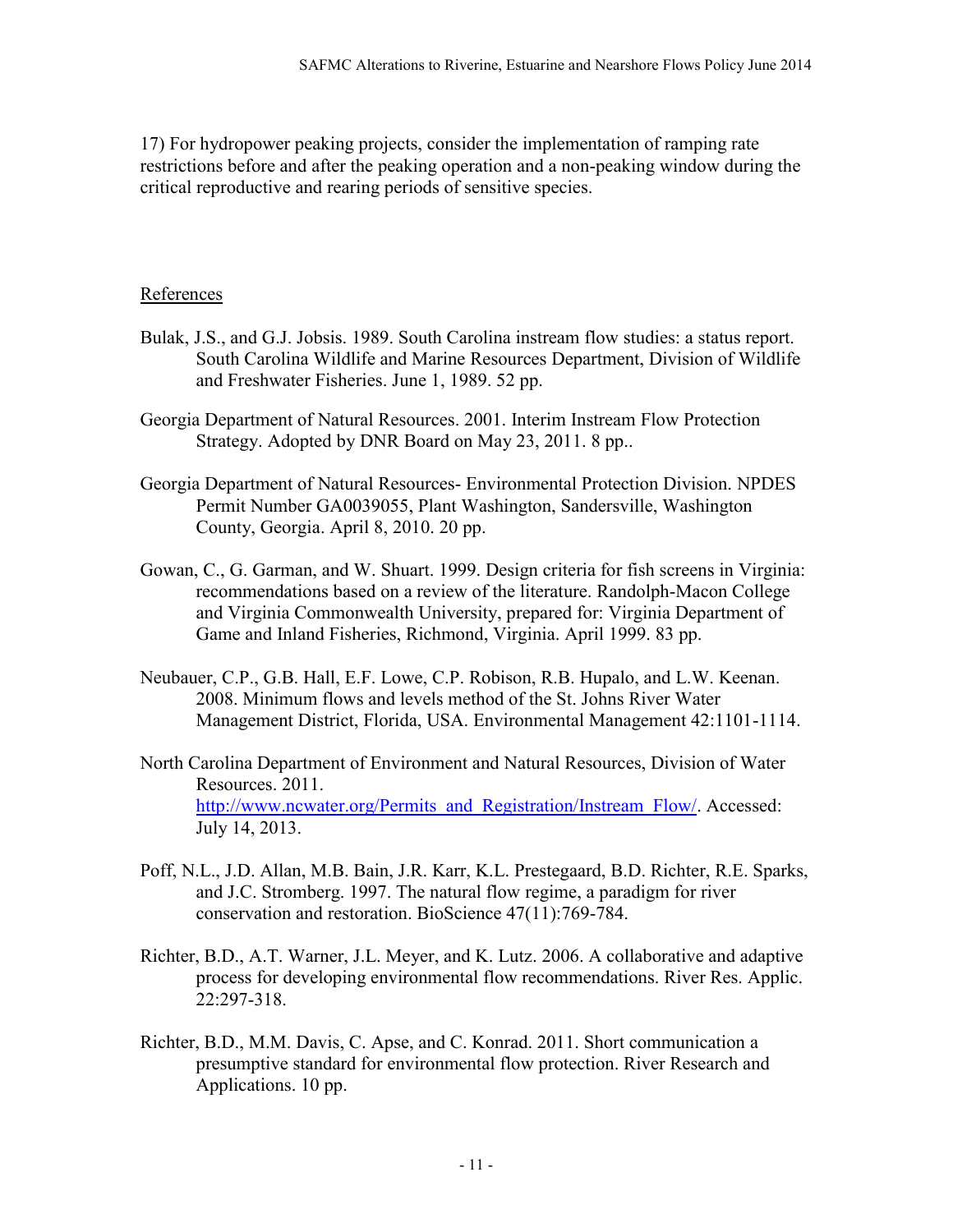17) For hydropower peaking projects, consider the implementation of ramping rate restrictions before and after the peaking operation and a non-peaking window during the critical reproductive and rearing periods of sensitive species.

#### References

- Bulak, J.S., and G.J. Jobsis. 1989. South Carolina instream flow studies: a status report. South Carolina Wildlife and Marine Resources Department, Division of Wildlife and Freshwater Fisheries. June 1, 1989. 52 pp.
- Georgia Department of Natural Resources. 2001. Interim Instream Flow Protection Strategy. Adopted by DNR Board on May 23, 2011. 8 pp..
- Georgia Department of Natural Resources- Environmental Protection Division. NPDES Permit Number GA0039055, Plant Washington, Sandersville, Washington County, Georgia. April 8, 2010. 20 pp.
- Gowan, C., G. Garman, and W. Shuart. 1999. Design criteria for fish screens in Virginia: recommendations based on a review of the literature. Randolph-Macon College and Virginia Commonwealth University, prepared for: Virginia Department of Game and Inland Fisheries, Richmond, Virginia. April 1999. 83 pp.
- Neubauer, C.P., G.B. Hall, E.F. Lowe, C.P. Robison, R.B. Hupalo, and L.W. Keenan. 2008. Minimum flows and levels method of the St. Johns River Water Management District, Florida, USA. Environmental Management 42:1101-1114.
- North Carolina Department of Environment and Natural Resources, Division of Water Resources. 2011. [http://www.ncwater.org/Permits\\_and\\_Registration/Instream\\_Flow/.](http://www.ncwater.org/Permits_and_Registration/Instream_Flow/) Accessed: July 14, 2013.
- Poff, N.L., J.D. Allan, M.B. Bain, J.R. Karr, K.L. Prestegaard, B.D. Richter, R.E. Sparks, and J.C. Stromberg. 1997. The natural flow regime, a paradigm for river conservation and restoration. BioScience 47(11):769-784.
- Richter, B.D., A.T. Warner, J.L. Meyer, and K. Lutz. 2006. A collaborative and adaptive process for developing environmental flow recommendations. River Res. Applic. 22:297-318.
- Richter, B.D., M.M. Davis, C. Apse, and C. Konrad. 2011. Short communication a presumptive standard for environmental flow protection. River Research and Applications. 10 pp.